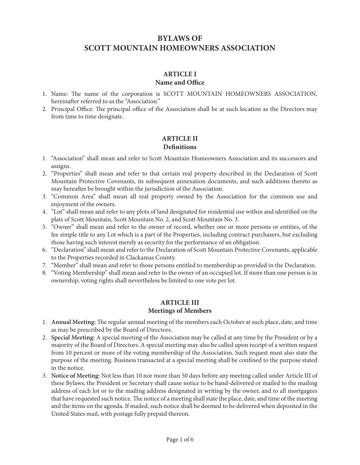# **BYLAWS OF SCOTT MOUNTAIN HOMEOWNERS ASSOCIATION**

## **ARTICLE I Name and Office**

- 1. Name: The name of the corporation is SCOTT MOUNTAIN HOMEOWNERS ASSOCIATION, hereinafter referred to as the "Association."
- 2. Principal Office: The principal office of the Association shall be at such location as the Directors may from time to time designate.

## **ARTICLE II Definitions**

- 1. "Association" shall mean and refer to Scott Mountain Homeowners Association and its successors and assigns.
- 2. "Properties" shall mean and refer to that certain real property described in the Declaration of Scott Mountain Protective Covenants, its subsequent annexation documents, and such additions thereto as may hereafter be brought within the jurisdiction of the Association.
- 3. "Common Area" shall mean all real property owned by the Association for the common use and enjoyment of the owners.
- 4. "Lot" shall mean and refer to any plots of land designated for residential use within and identified on the plats of Scott Mountain, Scott Mountain No. 2, and Scott Mountain No. 3.
- 5. "Owner" shall mean and refer to the owner of record, whether one or more persons or entities, of the fee simple title to any Lot which is a part of the Properties, including contract purchasers, but excluding those having such interest merely as security for the performance of an obligation.
- 6. "Declaration" shall mean and refer to the Declaration of Scott Mountain Protective Covenants, applicable to the Properties recorded in Clackamas County.
- 7. "Member" shall mean and refer to those persons entitled to membership as provided in the Declaration.
- 8. "Voting Membership" shall mean and refer to the owner of an occupied lot. If more than one person is in ownership, voting rights shall nevertheless be limited to one vote per lot.

## **ARTICLE III Meetings of Members**

- 1. **Annual Meeting:** The regular annual meeting of the members each October at such place, date, and time as may be prescribed by the Board of Directors.
- 2. **Special Meeting:** A special meeting of the Association may be called at any time by the President or by a majority of the Board of Directors. A special meeting may also be called upon receipt of a written request from 10 percent or more of the voting membership of the Association. Such request must also state the purpose of the meeting. Business transacted at a special meeting shall be confined to the purpose stated in the notice.
- 3. **Notice of Meeting:** Not less than 10 nor more than 50 days before any meeting called under Article III of these Bylaws, the President or Secretary shall cause notice to be hand-delivered or mailed to the mailing address of each lot or to the mailing address designated in writing by the owner, and to all mortgagees that have requested such notice. The notice of a meeting shall state the place, date, and time of the meeting and the items on the agenda. If mailed, such notice shall be deemed to be delivered when deposited in the United States mail, with postage fully prepaid thereon.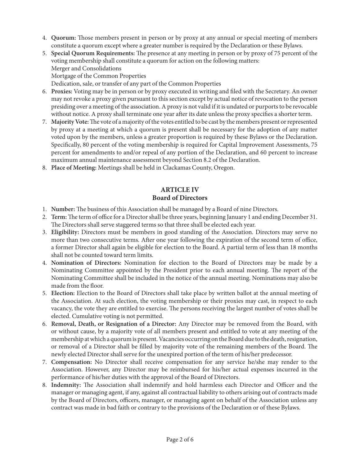- 4. **Quorum:** Those members present in person or by proxy at any annual or special meeting of members constitute a quorum except where a greater number is required by the Declaration or these Bylaws.
- 5. **Special Quorum Requirements:** The presence at any meeting in person or by proxy of 75 percent of the voting membership shall constitute a quorum for action on the following matters: Merger and Consolidations Mortgage of the Common Properties Dedication, sale, or transfer of any part of the Common Properties
- 6. **Proxies:** Voting may be in person or by proxy executed in writing and filed with the Secretary. An owner may not revoke a proxy given pursuant to this section except by actual notice of revocation to the person presiding over a meeting of the association. A proxy is not valid if it is undated or purports to be revocable without notice. A proxy shall terminate one year after its date unless the proxy specifies a shorter term.
- 7. **Majority Vote:** The vote of a majority of the votes entitled to be cast by the members present or represented by proxy at a meeting at which a quorum is present shall be necessary for the adoption of any matter voted upon by the members, unless a greater proportion is required by these Bylaws or the Declaration. Specifically, 80 percent of the voting membership is required for Capital Improvement Assessments, 75 percent for amendments to and/or repeal of any portion of the Declaration, and 60 percent to increase maximum annual maintenance assessment beyond Section 8.2 of the Declaration.
- 8. **Place of Meeting:** Meetings shall be held in Clackamas County, Oregon.

#### **ARTICLE IV Board of Directors**

- 1. **Number:** The business of this Association shall be managed by a Board of nine Directors.
- 2. **Term:** The term of office for a Director shall be three years, beginning January 1 and ending December 31. The Directors shall serve staggered terms so that three shall be elected each year.
- 3. **Eligibility:** Directors must be members in good standing of the Association. Directors may serve no more than two consecutive terms. After one year following the expiration of the second term of office, a former Director shall again be eligible for election to the Board. A partial term of less than 18 months shall not be counted toward term limits.
- 4. **Nomination of Directors:** Nomination for election to the Board of Directors may be made by a Nominating Committee appointed by the President prior to each annual meeting. The report of the Nominating Committee shall be included in the notice of the annual meeting. Nominations may also be made from the floor.
- 5. **Election:** Election to the Board of Directors shall take place by written ballot at the annual meeting of the Association. At such election, the voting membership or their proxies may cast, in respect to each vacancy, the vote they are entitled to exercise. The persons receiving the largest number of votes shall be elected. Cumulative voting is not permitted.
- 6. **Removal, Death, or Resignation of a Director:** Any Director may be removed from the Board, with or without cause, by a majority vote of all members present and entitled to vote at any meeting of the membership at which a quorum is present. Vacancies occurring on the Board due to the death, resignation, or removal of a Director shall be filled by majority vote of the remaining members of the Board. The newly elected Director shall serve for the unexpired portion of the term of his/her predecessor.
- 7. **Compensation:** No Director shall receive compensation for any service he/she may render to the Association. However, any Director may be reimbursed for his/her actual expenses incurred in the performance of his/her duties with the approval of the Board of Directors.
- 8. **Indemnity:** The Association shall indemnify and hold harmless each Director and Officer and the manager or managing agent, if any, against all contractual liability to others arising out of contracts made by the Board of Directors, officers, manager, or managing agent on behalf of the Association unless any contract was made in bad faith or contrary to the provisions of the Declaration or of these Bylaws.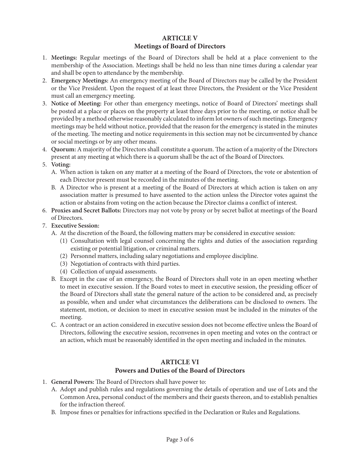### **ARTICLE V Meetings of Board of Directors**

- 1. **Meetings:** Regular meetings of the Board of Directors shall be held at a place convenient to the membership of the Association. Meetings shall be held no less than nine times during a calendar year and shall be open to attendance by the membership.
- 2. **Emergency Meetings:** An emergency meeting of the Board of Directors may be called by the President or the Vice President. Upon the request of at least three Directors, the President or the Vice President must call an emergency meeting.
- 3. **Notice of Meeting:** For other than emergency meetings, notice of Board of Directors' meetings shall be posted at a place or places on the property at least three days prior to the meeting, or notice shall be provided by a method otherwise reasonably calculated to inform lot owners of such meetings. Emergency meetings may be held without notice, provided that the reason for the emergency is stated in the minutes of the meeting. The meeting and notice requirements in this section may not be circumvented by chance or social meetings or by any other means.
- 4. **Quorum:** A majority of the Directors shall constitute a quorum. The action of a majority of the Directors present at any meeting at which there is a quorum shall be the act of the Board of Directors.
- 5. **Voting:**
	- A. When action is taken on any matter at a meeting of the Board of Directors, the vote or abstention of each Director present must be recorded in the minutes of the meeting.
	- B. A Director who is present at a meeting of the Board of Directors at which action is taken on any association matter is presumed to have assented to the action unless the Director votes against the action or abstains from voting on the action because the Director claims a conflict of interest.
- 6. **Proxies and Secret Ballots:** Directors may not vote by proxy or by secret ballot at meetings of the Board of Directors.

### 7. **Executive Session:**

- A. At the discretion of the Board, the following matters may be considered in executive session:
	- (1) Consultation with legal counsel concerning the rights and duties of the association regarding existing or potential litigation, or criminal matters.
	- (2) Personnel matters, including salary negotiations and employee discipline.
	- (3) Negotiation of contracts with third parties.
	- (4) Collection of unpaid assessments.
- B. Except in the case of an emergency, the Board of Directors shall vote in an open meeting whether to meet in executive session. If the Board votes to meet in executive session, the presiding officer of the Board of Directors shall state the general nature of the action to be considered and, as precisely as possible, when and under what circumstances the deliberations can be disclosed to owners. The statement, motion, or decision to meet in executive session must be included in the minutes of the meeting.
- C. A contract or an action considered in executive session does not become effective unless the Board of Directors, following the executive session, reconvenes in open meeting and votes on the contract or an action, which must be reasonably identified in the open meeting and included in the minutes.

### **ARTICLE VI Powers and Duties of the Board of Directors**

- 1. **General Powers:** The Board of Directors shall have power to:
	- A. Adopt and publish rules and regulations governing the details of operation and use of Lots and the Common Area, personal conduct of the members and their guests thereon, and to establish penalties for the infraction thereof.
	- B. Impose fines or penalties for infractions specified in the Declaration or Rules and Regulations.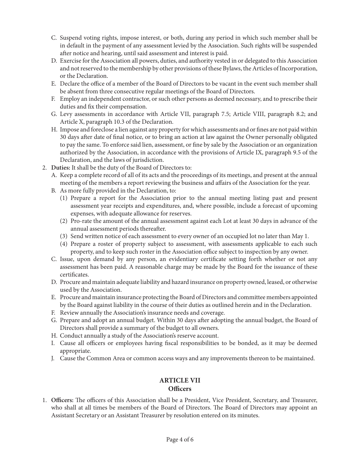- C. Suspend voting rights, impose interest, or both, during any period in which such member shall be in default in the payment of any assessment levied by the Association. Such rights will be suspended after notice and hearing, until said assessment and interest is paid.
- D. Exercise for the Association all powers, duties, and authority vested in or delegated to this Association and not reserved to the membership by other provisions of these Bylaws, the Articles of Incorporation, or the Declaration.
- E. Declare the office of a member of the Board of Directors to be vacant in the event such member shall be absent from three consecutive regular meetings of the Board of Directors.
- F. Employ an independent contractor, or such other persons as deemed necessary, and to prescribe their duties and fix their compensation.
- G. Levy assessments in accordance with Article VII, paragraph 7.5; Article VIII, paragraph 8.2; and Article X, paragraph 10.3 of the Declaration.
- H. Impose and foreclose a lien against any property for which assessments and or fines are not paid within 30 days after date of final notice, or to bring an action at law against the Owner personally obligated to pay the same. To enforce said lien, assessment, or fine by sale by the Association or an organization authorized by the Association, in accordance with the provisions of Article IX, paragraph 9.5 of the Declaration, and the laws of jurisdiction.
- 2. **Duties:** It shall be the duty of the Board of Directors to:
	- A. Keep a complete record of all of its acts and the proceedings of its meetings, and present at the annual meeting of the members a report reviewing the business and affairs of the Association for the year.
	- B. As more fully provided in the Declaration, to:
		- (1) Prepare a report for the Association prior to the annual meeting listing past and present assessment year receipts and expenditures, and, where possible, include a forecast of upcoming expenses, with adequate allowance for reserves.
		- (2) Pro-rate the amount of the annual assessment against each Lot at least 30 days in advance of the annual assessment periods thereafter.
		- (3) Send written notice of each assessment to every owner of an occupied lot no later than May 1.
		- (4) Prepare a roster of property subject to assessment, with assessments applicable to each such property, and to keep such roster in the Association office subject to inspection by any owner.
	- C. Issue, upon demand by any person, an evidentiary certificate setting forth whether or not any assessment has been paid. A reasonable charge may be made by the Board for the issuance of these certificates.
	- D. Procure and maintain adequate liability and hazard insurance on property owned, leased, or otherwise used by the Association.
	- E. Procure and maintain insurance protecting the Board of Directors and committee members appointed by the Board against liability in the course of their duties as outlined herein and in the Declaration.
	- F. Review annually the Association's insurance needs and coverage.
	- G. Prepare and adopt an annual budget. Within 30 days after adopting the annual budget, the Board of Directors shall provide a summary of the budget to all owners.
	- H. Conduct annually a study of the Association's reserve account.
	- I. Cause all officers or employees having fiscal responsibilities to be bonded, as it may be deemed appropriate.
	- J. Cause the Common Area or common access ways and any improvements thereon to be maintained.

# **ARTICLE VII**

## **Officers**

1. **Officers:** The officers of this Association shall be a President, Vice President, Secretary, and Treasurer, who shall at all times be members of the Board of Directors. The Board of Directors may appoint an Assistant Secretary or an Assistant Treasurer by resolution entered on its minutes.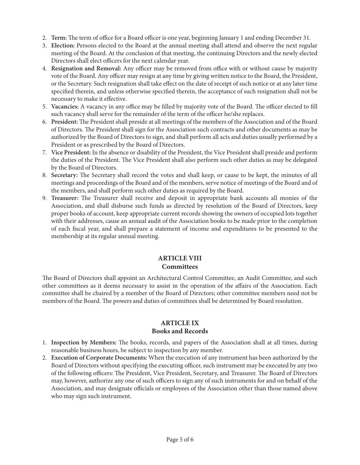- 2. **Term:** The term of office for a Board officer is one year, beginning January 1 and ending December 31.
- 3. **Election:** Persons elected to the Board at the annual meeting shall attend and observe the next regular meeting of the Board. At the conclusion of that meeting, the continuing Directors and the newly elected Directors shall elect officers for the next calendar year.
- 4. **Resignation and Removal:** Any officer may be removed from office with or without cause by majority vote of the Board. Any officer may resign at any time by giving written notice to the Board, the President, or the Secretary. Such resignation shall take effect on the date of receipt of such notice or at any later time specified therein, and unless otherwise specified therein, the acceptance of such resignation shall not be necessary to make it effective.
- 5. **Vacancies:** A vacancy in any office may be filled by majority vote of the Board. The officer elected to fill such vacancy shall serve for the remainder of the term of the officer he/she replaces.
- 6. **President:** The President shall preside at all meetings of the members of the Association and of the Board of Directors. The President shall sign for the Association such contracts and other documents as may be authorized by the Board of Directors to sign, and shall perform all acts and duties usually performed by a President or as prescribed by the Board of Directors.
- 7. **Vice President:** In the absence or disability of the President, the Vice President shall preside and perform the duties of the President. The Vice President shall also perform such other duties as may be delegated by the Board of Directors.
- 8. **Secretary:** The Secretary shall record the votes and shall keep, or cause to be kept, the minutes of all meetings and proceedings of the Board and of the members, serve notice of meetings of the Board and of the members, and shall perform such other duties as required by the Board.
- 9. **Treasurer:** The Treasurer shall receive and deposit in appropriate bank accounts all monies of the Association, and shall disburse such funds as directed by resolution of the Board of Directors, keep proper books of account, keep appropriate current records showing the owners of occupied lots together with their addresses, cause an annual audit of the Association books to be made prior to the completion of each fiscal year, and shall prepare a statement of income and expenditures to be presented to the membership at its regular annual meeting.

## **ARTICLE VIII Committees**

The Board of Directors shall appoint an Architectural Control Committee, an Audit Committee, and such other committees as it deems necessary to assist in the operation of the affairs of the Association. Each committee shall be chaired by a member of the Board of Directors; other committee members need not be members of the Board. The powers and duties of committees shall be determined by Board resolution.

## **ARTICLE IX Books and Records**

- 1. **Inspection by Members:** The books, records, and papers of the Association shall at all times, during reasonable business hours, be subject to inspection by any member.
- 2. **Execution of Corporate Documents:** When the execution of any instrument has been authorized by the Board of Directors without specifying the executing officer, such instrument may be executed by any two of the following officers: The President, Vice President, Secretary, and Treasurer. The Board of Directors may, however, authorize any one of such officers to sign any of such instruments for and on behalf of the Association, and may designate officials or employees of the Association other than those named above who may sign such instrument.